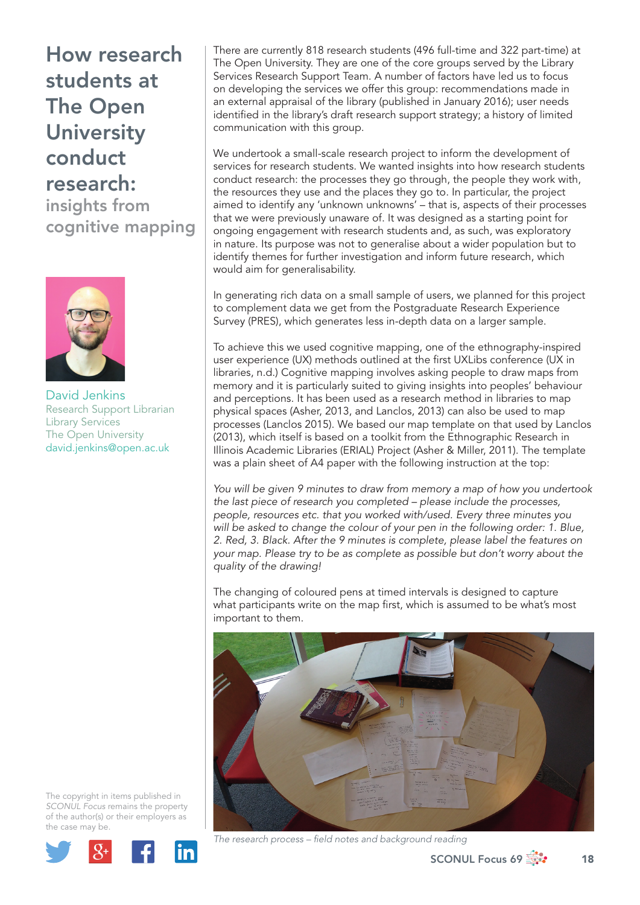insights from cognitive mapping



David Jenkins Research Support Librarian Library Services The Open University david.jenkins@open.ac.uk

The copyright in items published in *SCONUL Focus* remains the property of the author(s) or their employers as the case may be.



There are currently 818 research students (496 full-time and 322 part-time) at The Open University. They are one of the core groups served by the Library Services Research Support Team. A number of factors have led us to focus on developing the services we offer this group: recommendations made in an external appraisal of the library (published in January 2016); user needs identified in the library's draft research support strategy; a history of limited communication with this group.

We undertook a small-scale research project to inform the development of services for research students. We wanted insights into how research students conduct research: the processes they go through, the people they work with, the resources they use and the places they go to. In particular, the project aimed to identify any 'unknown unknowns' – that is, aspects of their processes that we were previously unaware of. It was designed as a starting point for ongoing engagement with research students and, as such, was exploratory in nature. Its purpose was not to generalise about a wider population but to identify themes for further investigation and inform future research, which would aim for generalisability.

In generating rich data on a small sample of users, we planned for this project to complement data we get from the Postgraduate Research Experience Survey (PRES), which generates less in-depth data on a larger sample.

To achieve this we used cognitive mapping, one of the ethnography-inspired user experience (UX) methods outlined at the first UXLibs conference (UX in libraries, n.d.) Cognitive mapping involves asking people to draw maps from memory and it is particularly suited to giving insights into peoples' behaviour and perceptions. It has been used as a research method in libraries to map physical spaces (Asher, 2013, and Lanclos, 2013) can also be used to map processes (Lanclos 2015). We based our map template on that used by Lanclos (2013), which itself is based on a toolkit from the Ethnographic Research in Illinois Academic Libraries (ERIAL) Project (Asher & Miller, 2011). The template was a plain sheet of A4 paper with the following instruction at the top:

*You will be given 9 minutes to draw from memory a map of how you undertook the last piece of research you completed – please include the processes, people, resources etc. that you worked with/used. Every three minutes you will be asked to change the colour of your pen in the following order: 1. Blue, 2. Red, 3. Black. After the 9 minutes is complete, please label the features on your map. Please try to be as complete as possible but don't worry about the quality of the drawing!*

The changing of coloured pens at timed intervals is designed to capture what participants write on the map first, which is assumed to be what's most important to them.



The research process – field notes and background reading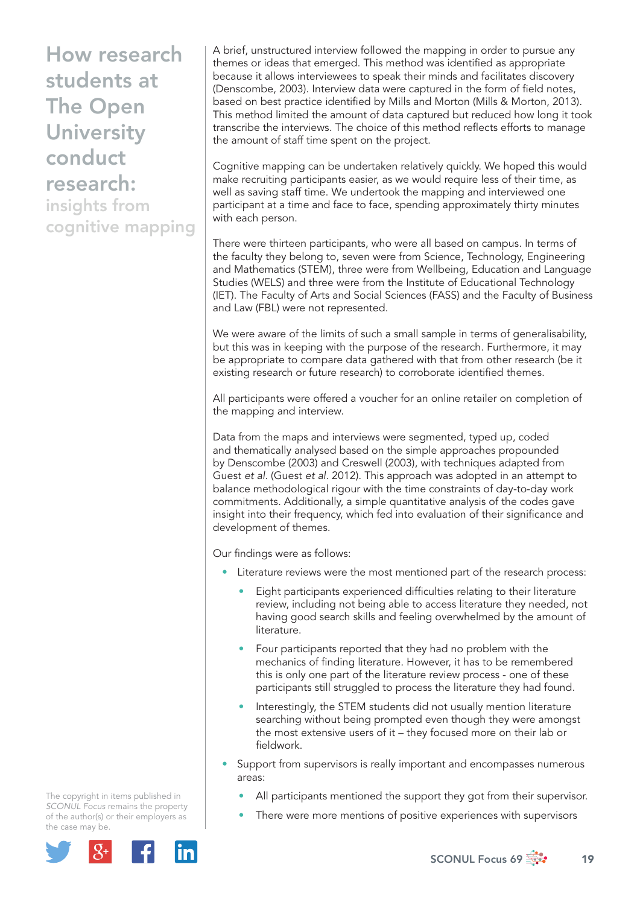insights from cognitive mapping A brief, unstructured interview followed the mapping in order to pursue any themes or ideas that emerged. This method was identified as appropriate because it allows interviewees to speak their minds and facilitates discovery (Denscombe, 2003). Interview data were captured in the form of field notes, based on best practice identified by Mills and Morton (Mills & Morton, 2013). This method limited the amount of data captured but reduced how long it took transcribe the interviews. The choice of this method reflects efforts to manage the amount of staff time spent on the project.

Cognitive mapping can be undertaken relatively quickly. We hoped this would make recruiting participants easier, as we would require less of their time, as well as saving staff time. We undertook the mapping and interviewed one participant at a time and face to face, spending approximately thirty minutes with each person.

There were thirteen participants, who were all based on campus. In terms of the faculty they belong to, seven were from Science, Technology, Engineering and Mathematics (STEM), three were from Wellbeing, Education and Language Studies (WELS) and three were from the Institute of Educational Technology (IET). The Faculty of Arts and Social Sciences (FASS) and the Faculty of Business and Law (FBL) were not represented.

We were aware of the limits of such a small sample in terms of generalisability, but this was in keeping with the purpose of the research. Furthermore, it may be appropriate to compare data gathered with that from other research (be it existing research or future research) to corroborate identified themes.

All participants were offered a voucher for an online retailer on completion of the mapping and interview.

Data from the maps and interviews were segmented, typed up, coded and thematically analysed based on the simple approaches propounded by Denscombe (2003) and Creswell (2003), with techniques adapted from Guest *et al*. (Guest *et al*. 2012). This approach was adopted in an attempt to balance methodological rigour with the time constraints of day-to-day work commitments. Additionally, a simple quantitative analysis of the codes gave insight into their frequency, which fed into evaluation of their significance and development of themes.

Our findings were as follows:

- Literature reviews were the most mentioned part of the research process:
	- Eight participants experienced difficulties relating to their literature review, including not being able to access literature they needed, not having good search skills and feeling overwhelmed by the amount of literature.
	- Four participants reported that they had no problem with the mechanics of finding literature. However, it has to be remembered this is only one part of the literature review process - one of these participants still struggled to process the literature they had found.
	- Interestingly, the STEM students did not usually mention literature searching without being prompted even though they were amongst the most extensive users of it – they focused more on their lab or fieldwork.
- Support from supervisors is really important and encompasses numerous areas:
	- All participants mentioned the support they got from their supervisor.
	- There were more mentions of positive experiences with supervisors

The copyright in items published in *SCONUL Focus* remains the property of the author(s) or their employers as the case may be.

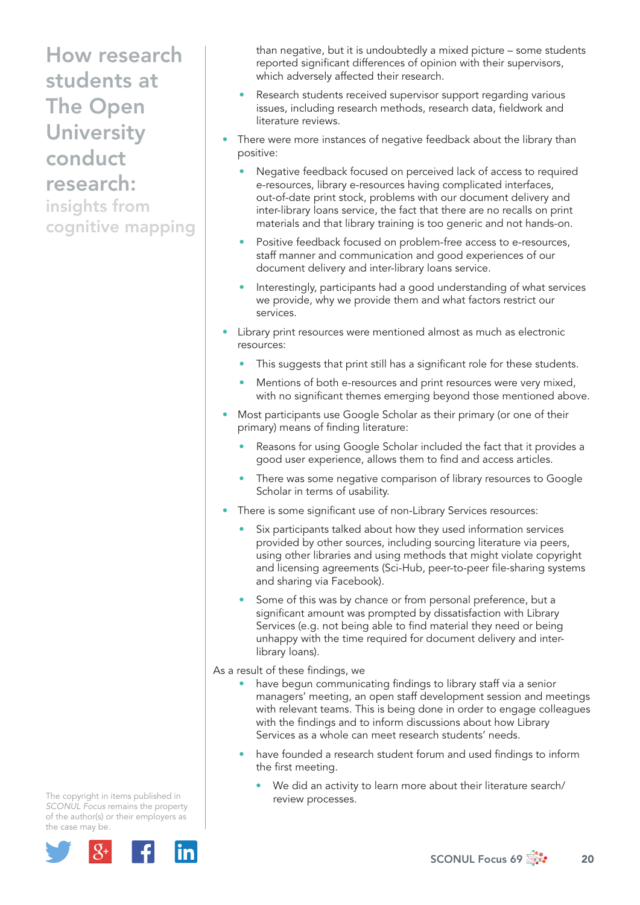insights from cognitive mapping than negative, but it is undoubtedly a mixed picture – some students reported significant differences of opinion with their supervisors, which adversely affected their research.

- Research students received supervisor support regarding various issues, including research methods, research data, fieldwork and literature reviews.
- There were more instances of negative feedback about the library than positive:
	- Negative feedback focused on perceived lack of access to required e-resources, library e-resources having complicated interfaces, out-of-date print stock, problems with our document delivery and inter-library loans service, the fact that there are no recalls on print materials and that library training is too generic and not hands-on.
	- Positive feedback focused on problem-free access to e-resources, staff manner and communication and good experiences of our document delivery and inter-library loans service.
	- Interestingly, participants had a good understanding of what services we provide, why we provide them and what factors restrict our services.
- Library print resources were mentioned almost as much as electronic resources:
	- This suggests that print still has a significant role for these students.
	- Mentions of both e-resources and print resources were very mixed, with no significant themes emerging beyond those mentioned above.
- Most participants use Google Scholar as their primary (or one of their primary) means of finding literature:
	- Reasons for using Google Scholar included the fact that it provides a good user experience, allows them to find and access articles.
	- There was some negative comparison of library resources to Google Scholar in terms of usability.
- There is some significant use of non-Library Services resources:
	- Six participants talked about how they used information services provided by other sources, including sourcing literature via peers, using other libraries and using methods that might violate copyright and licensing agreements (Sci-Hub, peer-to-peer file-sharing systems and sharing via Facebook).
	- Some of this was by chance or from personal preference, but a significant amount was prompted by dissatisfaction with Library Services (e.g. not being able to find material they need or being unhappy with the time required for document delivery and interlibrary loans).

As a result of these findings, we

- have begun communicating findings to library staff via a senior managers' meeting, an open staff development session and meetings with relevant teams. This is being done in order to engage colleagues with the findings and to inform discussions about how Library Services as a whole can meet research students' needs.
- have founded a research student forum and used findings to inform the first meeting.
	- We did an activity to learn more about their literature search/ review processes.

The copyright in items published in *SCONUL Focus* remains the property of the author(s) or their employers as the case may be.

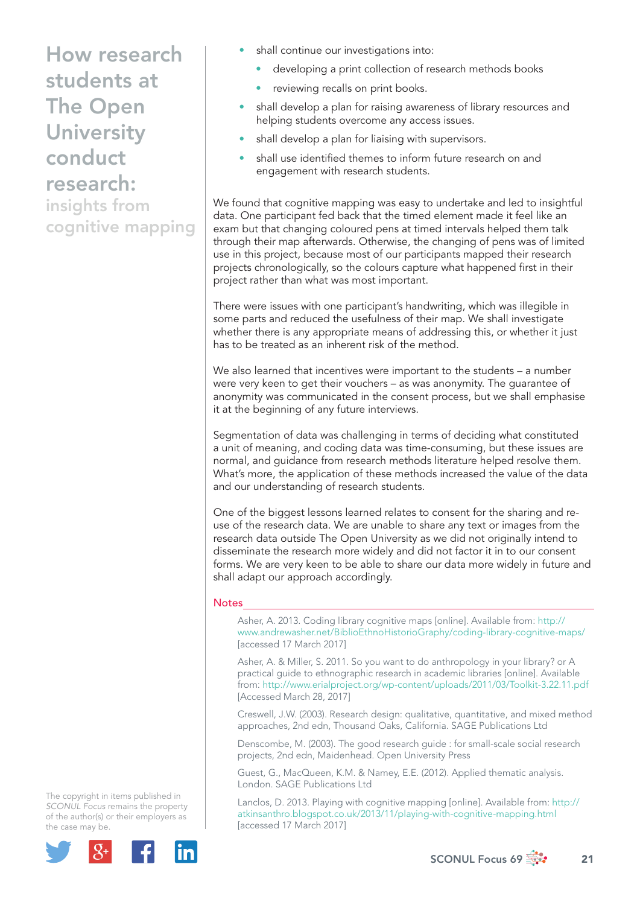insights from cognitive mapping

- shall continue our investigations into:
	- developing a print collection of research methods books
	- reviewing recalls on print books.
- shall develop a plan for raising awareness of library resources and helping students overcome any access issues.
- shall develop a plan for liaising with supervisors.
- shall use identified themes to inform future research on and engagement with research students.

We found that cognitive mapping was easy to undertake and led to insightful data. One participant fed back that the timed element made it feel like an exam but that changing coloured pens at timed intervals helped them talk through their map afterwards. Otherwise, the changing of pens was of limited use in this project, because most of our participants mapped their research projects chronologically, so the colours capture what happened first in their project rather than what was most important.

There were issues with one participant's handwriting, which was illegible in some parts and reduced the usefulness of their map. We shall investigate whether there is any appropriate means of addressing this, or whether it just has to be treated as an inherent risk of the method.

We also learned that incentives were important to the students – a number were very keen to get their vouchers – as was anonymity. The guarantee of anonymity was communicated in the consent process, but we shall emphasise it at the beginning of any future interviews.

Segmentation of data was challenging in terms of deciding what constituted a unit of meaning, and coding data was time-consuming, but these issues are normal, and guidance from research methods literature helped resolve them. What's more, the application of these methods increased the value of the data and our understanding of research students.

One of the biggest lessons learned relates to consent for the sharing and reuse of the research data. We are unable to share any text or images from the research data outside The Open University as we did not originally intend to disseminate the research more widely and did not factor it in to our consent forms. We are very keen to be able to share our data more widely in future and shall adapt our approach accordingly.

## **Notes**

 Asher, A. 2013. Coding library cognitive maps [online]. Available from: http:// www.andrewasher.net/BiblioEthnoHistorioGraphy/coding-library-cognitive-maps/ [accessed 17 March 2017]

 Asher, A. & Miller, S. 2011. So you want to do anthropology in your library? or A practical guide to ethnographic research in academic libraries [online]. Available from: http://www.erialproject.org/wp-content/uploads/2011/03/Toolkit-3.22.11.pdf [Accessed March 28, 2017]

 Creswell, J.W. (2003). Research design: qualitative, quantitative, and mixed method approaches, 2nd edn, Thousand Oaks, California. SAGE Publications Ltd

 Denscombe, M. (2003). The good research guide : for small-scale social research projects, 2nd edn, Maidenhead. Open University Press

 Guest, G., MacQueen, K.M. & Namey, E.E. (2012). Applied thematic analysis. London. SAGE Publications Ltd

 Lanclos, D. 2013. Playing with cognitive mapping [online]. Available from: http:// atkinsanthro.blogspot.co.uk/2013/11/playing-with-cognitive-mapping.html [accessed 17 March 2017]